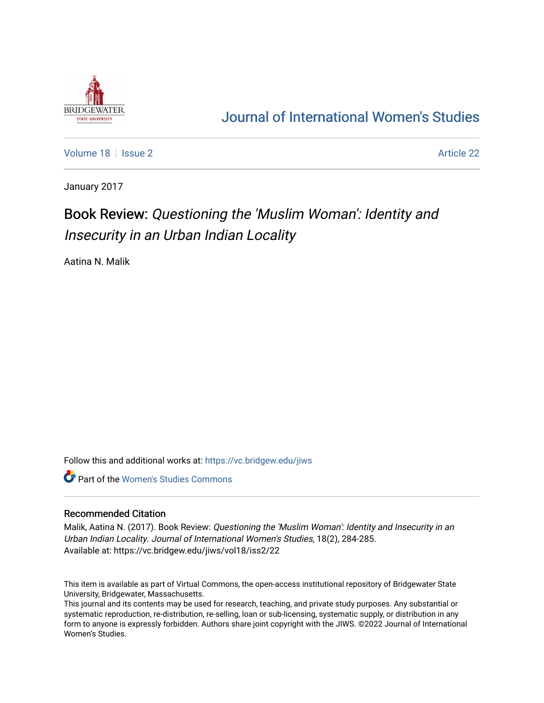

## [Journal of International Women's Studies](https://vc.bridgew.edu/jiws)

[Volume 18](https://vc.bridgew.edu/jiws/vol18) | [Issue 2](https://vc.bridgew.edu/jiws/vol18/iss2) Article 22

January 2017

# Book Review: Questioning the 'Muslim Woman': Identity and Insecurity in an Urban Indian Locality

Aatina N. Malik

Follow this and additional works at: [https://vc.bridgew.edu/jiws](https://vc.bridgew.edu/jiws?utm_source=vc.bridgew.edu%2Fjiws%2Fvol18%2Fiss2%2F22&utm_medium=PDF&utm_campaign=PDFCoverPages)

**C** Part of the Women's Studies Commons

#### Recommended Citation

Malik, Aatina N. (2017). Book Review: Questioning the 'Muslim Woman': Identity and Insecurity in an Urban Indian Locality. Journal of International Women's Studies, 18(2), 284-285. Available at: https://vc.bridgew.edu/jiws/vol18/iss2/22

This item is available as part of Virtual Commons, the open-access institutional repository of Bridgewater State University, Bridgewater, Massachusetts.

This journal and its contents may be used for research, teaching, and private study purposes. Any substantial or systematic reproduction, re-distribution, re-selling, loan or sub-licensing, systematic supply, or distribution in any form to anyone is expressly forbidden. Authors share joint copyright with the JIWS. ©2022 Journal of International Women's Studies.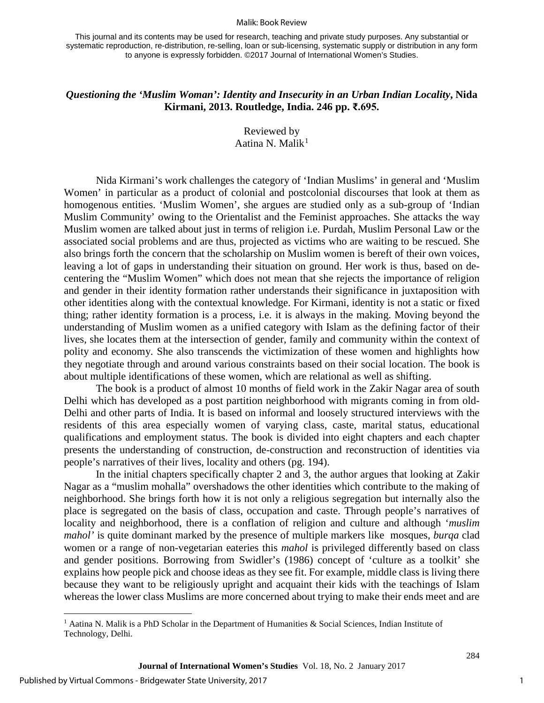#### Malik: Book Review

This journal and its contents may be used for research, teaching and private study purposes. Any substantial or systematic reproduction, re-distribution, re-selling, loan or sub-licensing, systematic supply or distribution in any form to anyone is expressly forbidden. ©2017 Journal of International Women's Studies.

### *Questioning the 'Muslim Woman': Identity and Insecurity in an Urban Indian Locality***, Nida Kirmani, 2013. Routledge, India. 246 pp. ₹.695.**

Reviewed by Aatina N. Malik $<sup>1</sup>$  $<sup>1</sup>$  $<sup>1</sup>$ </sup>

Nida Kirmani's work challenges the category of 'Indian Muslims' in general and 'Muslim Women' in particular as a product of colonial and postcolonial discourses that look at them as homogenous entities. 'Muslim Women', she argues are studied only as a sub-group of 'Indian Muslim Community' owing to the Orientalist and the Feminist approaches. She attacks the way Muslim women are talked about just in terms of religion i.e. Purdah, Muslim Personal Law or the associated social problems and are thus, projected as victims who are waiting to be rescued. She also brings forth the concern that the scholarship on Muslim women is bereft of their own voices, leaving a lot of gaps in understanding their situation on ground. Her work is thus, based on decentering the "Muslim Women" which does not mean that she rejects the importance of religion and gender in their identity formation rather understands their significance in juxtaposition with other identities along with the contextual knowledge. For Kirmani, identity is not a static or fixed thing; rather identity formation is a process, i.e. it is always in the making. Moving beyond the understanding of Muslim women as a unified category with Islam as the defining factor of their lives, she locates them at the intersection of gender, family and community within the context of polity and economy. She also transcends the victimization of these women and highlights how they negotiate through and around various constraints based on their social location. The book is about multiple identifications of these women, which are relational as well as shifting.

The book is a product of almost 10 months of field work in the Zakir Nagar area of south Delhi which has developed as a post partition neighborhood with migrants coming in from old-Delhi and other parts of India. It is based on informal and loosely structured interviews with the residents of this area especially women of varying class, caste, marital status, educational qualifications and employment status. The book is divided into eight chapters and each chapter presents the understanding of construction, de-construction and reconstruction of identities via people's narratives of their lives, locality and others (pg. 194).

In the initial chapters specifically chapter 2 and 3, the author argues that looking at Zakir Nagar as a "muslim mohalla" overshadows the other identities which contribute to the making of neighborhood. She brings forth how it is not only a religious segregation but internally also the place is segregated on the basis of class, occupation and caste. Through people's narratives of locality and neighborhood, there is a conflation of religion and culture and although '*muslim mahol'* is quite dominant marked by the presence of multiple markers like mosques, *burqa* clad women or a range of non-vegetarian eateries this *mahol* is privileged differently based on class and gender positions. Borrowing from Swidler's (1986) concept of 'culture as a toolkit' she explains how people pick and choose ideas as they see fit. For example, middle class is living there because they want to be religiously upright and acquaint their kids with the teachings of Islam whereas the lower class Muslims are more concerned about trying to make their ends meet and are

l

1

284

<span id="page-1-0"></span><sup>&</sup>lt;sup>1</sup> Aatina N. Malik is a PhD Scholar in the Department of Humanities & Social Sciences, Indian Institute of Technology, Delhi.